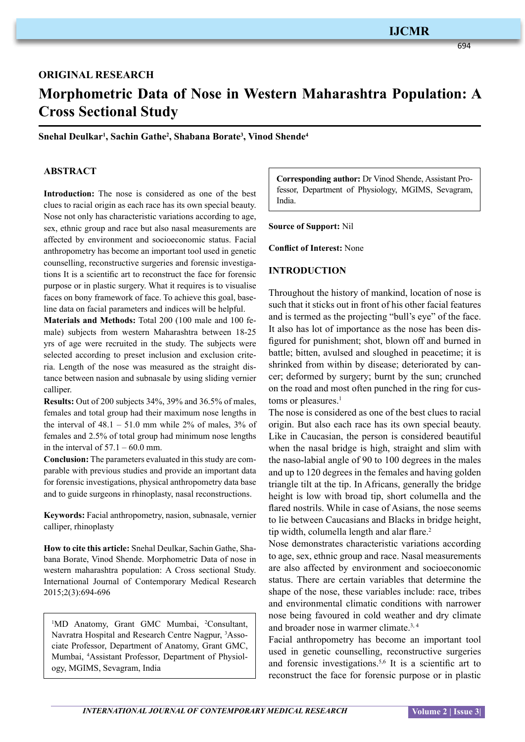694

# **ORIGINAL RESEARCH Morphometric Data of Nose in Western Maharashtra Population: A Cross Sectional Study**

**Snehal Deulkar1 , Sachin Gathe2 , Shabana Borate3 , Vinod Shende4**

## **ABSTRACT**

**Introduction:** The nose is considered as one of the best clues to racial origin as each race has its own special beauty. Nose not only has characteristic variations according to age, sex, ethnic group and race but also nasal measurements are affected by environment and socioeconomic status. Facial anthropometry has become an important tool used in genetic counselling, reconstructive surgeries and forensic investigations It is a scientific art to reconstruct the face for forensic purpose or in plastic surgery. What it requires is to visualise faces on bony framework of face. To achieve this goal, baseline data on facial parameters and indices will be helpful.

**Materials and Methods:** Total 200 (100 male and 100 female) subjects from western Maharashtra between 18-25 yrs of age were recruited in the study. The subjects were selected according to preset inclusion and exclusion criteria. Length of the nose was measured as the straight distance between nasion and subnasale by using sliding vernier calliper.

**Results:** Out of 200 subjects 34%, 39% and 36.5% of males, females and total group had their maximum nose lengths in the interval of  $48.1 - 51.0$  mm while  $2\%$  of males,  $3\%$  of females and 2.5% of total group had minimum nose lengths in the interval of  $57.1 - 60.0$  mm.

**Conclusion:** The parameters evaluated in this study are comparable with previous studies and provide an important data for forensic investigations, physical anthropometry data base and to guide surgeons in rhinoplasty, nasal reconstructions.

**Keywords:** Facial anthropometry, nasion, subnasale, vernier calliper, rhinoplasty

**How to cite this article:** Snehal Deulkar, Sachin Gathe, Shabana Borate, Vinod Shende. Morphometric Data of nose in western maharashtra population: A Cross sectional Study. International Journal of Contemporary Medical Research 2015;2(3):694-696

<sup>1</sup>MD Anatomy, Grant GMC Mumbai, <sup>2</sup>Consultant, Navratra Hospital and Research Centre Nagpur, <sup>3</sup>Associate Professor, Department of Anatomy, Grant GMC, Mumbai, 4 Assistant Professor, Department of Physiology, MGIMS, Sevagram, India

**Corresponding author:** Dr Vinod Shende, Assistant Professor, Department of Physiology, MGIMS, Sevagram, India.

**Source of Support:** Nil

**Conflict of Interest:** None

#### **INTRODUCTION**

Throughout the history of mankind, location of nose is such that it sticks out in front of his other facial features and is termed as the projecting "bull's eye" of the face. It also has lot of importance as the nose has been disfigured for punishment; shot, blown off and burned in battle; bitten, avulsed and sloughed in peacetime; it is shrinked from within by disease; deteriorated by cancer; deformed by surgery; burnt by the sun; crunched on the road and most often punched in the ring for customs or pleasures.<sup>1</sup>

The nose is considered as one of the best clues to racial origin. But also each race has its own special beauty. Like in Caucasian, the person is considered beautiful when the nasal bridge is high, straight and slim with the naso-labial angle of 90 to 100 degrees in the males and up to 120 degrees in the females and having golden triangle tilt at the tip. In Africans, generally the bridge height is low with broad tip, short columella and the flared nostrils. While in case of Asians, the nose seems to lie between Caucasians and Blacks in bridge height, tip width, columella length and alar flare.<sup>2</sup>

Nose demonstrates characteristic variations according to age, sex, ethnic group and race. Nasal measurements are also affected by environment and socioeconomic status. There are certain variables that determine the shape of the nose, these variables include: race, tribes and environmental climatic conditions with narrower nose being favoured in cold weather and dry climate and broader nose in warmer climate.3, 4

Facial anthropometry has become an important tool used in genetic counselling, reconstructive surgeries and forensic investigations.5,6 It is a scientific art to reconstruct the face for forensic purpose or in plastic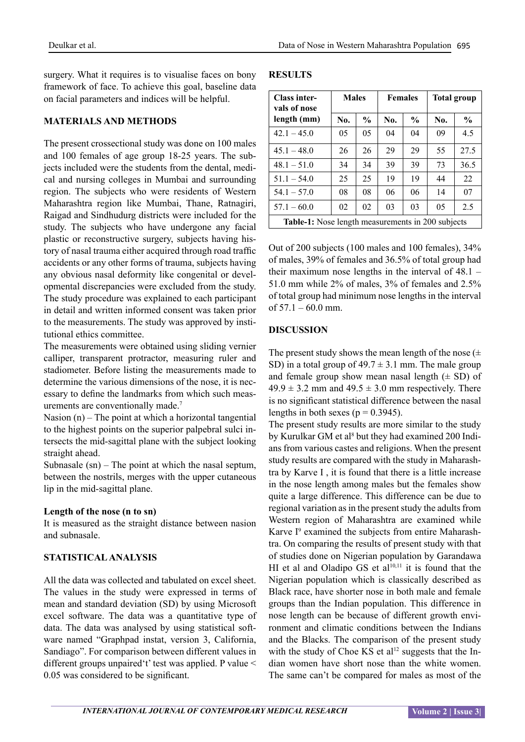surgery. What it requires is to visualise faces on bony framework of face. To achieve this goal, baseline data on facial parameters and indices will be helpful.

### **MATERIALS AND METHODS**

The present crossectional study was done on 100 males and 100 females of age group 18-25 years. The subjects included were the students from the dental, medical and nursing colleges in Mumbai and surrounding region. The subjects who were residents of Western Maharashtra region like Mumbai, Thane, Ratnagiri, Raigad and Sindhudurg districts were included for the study. The subjects who have undergone any facial plastic or reconstructive surgery, subjects having history of nasal trauma either acquired through road traffic accidents or any other forms of trauma, subjects having any obvious nasal deformity like congenital or developmental discrepancies were excluded from the study. The study procedure was explained to each participant in detail and written informed consent was taken prior to the measurements. The study was approved by institutional ethics committee.

The measurements were obtained using sliding vernier calliper, transparent protractor, measuring ruler and stadiometer. Before listing the measurements made to determine the various dimensions of the nose, it is necessary to define the landmarks from which such measurements are conventionally made.<sup>7</sup>

Nasion (n) – The point at which a horizontal tangential to the highest points on the superior palpebral sulci intersects the mid-sagittal plane with the subject looking straight ahead.

Subnasale  $(sn)$  – The point at which the nasal septum, between the nostrils, merges with the upper cutaneous lip in the mid-sagittal plane.

#### **Length of the nose (n to sn)**

It is measured as the straight distance between nasion and subnasale.

## **Statisticalanalysis**

All the data was collected and tabulated on excel sheet. The values in the study were expressed in terms of mean and standard deviation (SD) by using Microsoft excel software. The data was a quantitative type of data. The data was analysed by using statistical software named "Graphpad instat, version 3, California, Sandiago". For comparison between different values in different groups unpaired't' test was applied. P value < 0.05 was considered to be significant.

## **RESULTS**

| <b>Class inter-</b><br>vals of nose<br>length (mm) | <b>Males</b> |               | <b>Females</b> |               | <b>Total group</b> |               |
|----------------------------------------------------|--------------|---------------|----------------|---------------|--------------------|---------------|
|                                                    | No.          | $\frac{6}{9}$ | No.            | $\frac{6}{9}$ | No.                | $\frac{6}{9}$ |
| $42.1 - 45.0$                                      | 05           | 05            | 04             | 04            | 09                 | 4.5           |
| $45.1 - 48.0$                                      | 26           | 26            | 29             | 29            | 55                 | 27.5          |
| $48.1 - 51.0$                                      | 34           | 34            | 39             | 39            | 73                 | 36.5          |
| $51.1 - 54.0$                                      | 25           | 25            | 19             | 19            | 44                 | 22            |
| $54.1 - 57.0$                                      | 08           | 08            | 06             | 06            | 14                 | 07            |
| $57.1 - 60.0$                                      | 02           | 02            | 03             | 03            | 05                 | 2.5           |
| Table-1: Nose length measurements in 200 subjects  |              |               |                |               |                    |               |

Out of 200 subjects (100 males and 100 females), 34% of males, 39% of females and 36.5% of total group had their maximum nose lengths in the interval of 48.1 – 51.0 mm while 2% of males, 3% of females and 2.5% of total group had minimum nose lengths in the interval of  $57.1 - 60.0$  mm.

#### **DISCUSSION**

The present study shows the mean length of the nose  $(\pm$ SD) in a total group of  $49.7 \pm 3.1$  mm. The male group and female group show mean nasal length  $(\pm SD)$  of  $49.9 \pm 3.2$  mm and  $49.5 \pm 3.0$  mm respectively. There is no significant statistical difference between the nasal lengths in both sexes ( $p = 0.3945$ ).

The present study results are more similar to the study by Kurulkar GM et al<sup>8</sup> but they had examined 200 Indians from various castes and religions. When the present study results are compared with the study in Maharashtra by Karve I , it is found that there is a little increase in the nose length among males but the females show quite a large difference. This difference can be due to regional variation as in the present study the adults from Western region of Maharashtra are examined while Karve I<sup>9</sup> examined the subjects from entire Maharashtra. On comparing the results of present study with that of studies done on Nigerian population by Garandawa HI et al and Oladipo GS et al<sup>10,11</sup> it is found that the Nigerian population which is classically described as Black race, have shorter nose in both male and female groups than the Indian population. This difference in nose length can be because of different growth environment and climatic conditions between the Indians and the Blacks. The comparison of the present study with the study of Choe KS et al<sup>12</sup> suggests that the Indian women have short nose than the white women. The same can't be compared for males as most of the